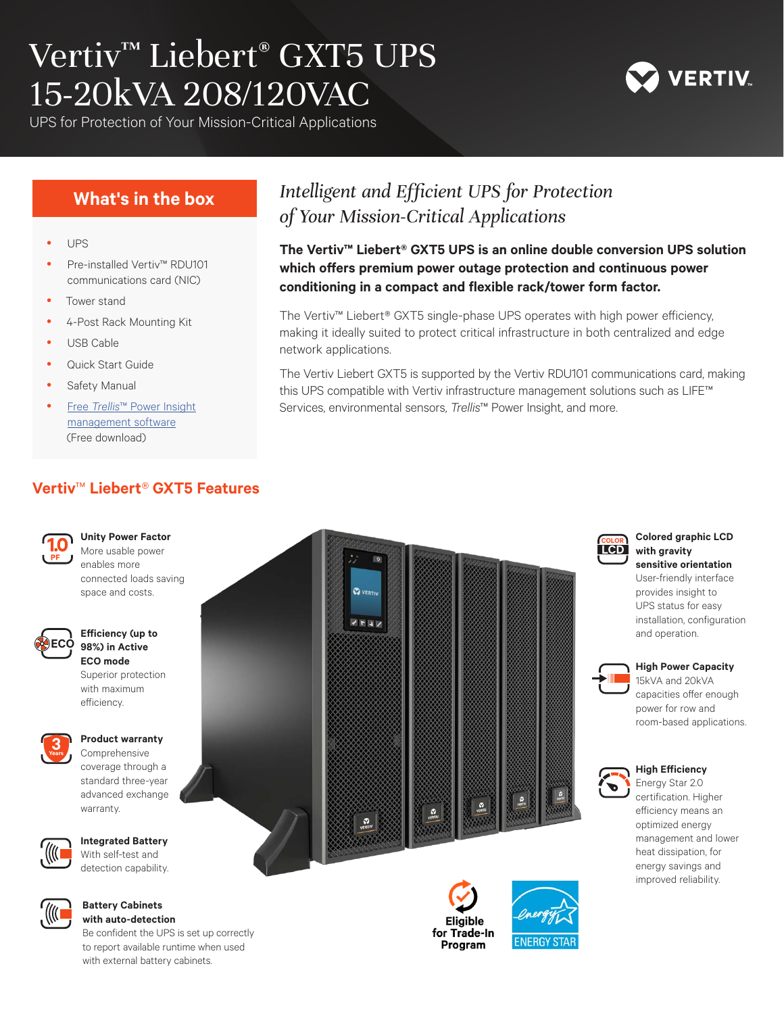# Vertiv™ Liebert® GXT5 UPS 15-20kVA 208/120VAC

UPS for Protection of Your Mission-Critical Applications

### **What's in the box**

- **UPS**
- Pre-installed Vertiv™ RDU101 communications card (NIC)
- Tower stand
- 4-Post Rack Mounting Kit
- USB Cable
- Quick Start Guide
- Safety Manual
- Free *Trellis*™ Power Insight management software (Free download)

### **Vertiv**™ **Liebert***®* **GXT5 Features COLOR**



**Unity Power Factor** More usable power enables more connected loads saving



#### **Efficiency (up to ECO** 98%) in Active **ECO mode**

space and costs.

Superior protection with maximum  $\Phi$  **PFFICIENCY**.



### **Product warranty**

Comprehensive coverage through a standard three-year advanced exchange  $\mathbf{W}$  **A**  $\mathbf{W}$  **A**  $\mathbf{W}$  **A**  $\mathbf{W}$ 



### **Integrated Battery**

With self-test and  $\overline{C}$  **A** detection capability.



#### **Battery Cabinets e**  $\left(\frac{1}{10}\right)^n$  with auto-detection

Be confident the UPS is set up correctly to report available runtime when used with external battery cabinets.







## *Intelligent and Efficient UPS for Protection of Your Mission-Critical Applications*

**The Vertiv™ Liebert® GXT5 UPS is an online double conversion UPS solution which offers premium power outage protection and continuous power conditioning in a compact and flexible rack/tower form factor.**

The Vertiv™ Liebert® GXT5 single-phase UPS operates with high power efficiency, making it ideally suited to protect critical infrastructure in both centralized and edge network applications.

The Vertiv Liebert GXT5 is supported by the Vertiv RDU101 communications card, making this UPS compatible with Vertiv infrastructure management solutions such as LIFE™ Services, environmental sensors, *Trellis*™ Power Insight, and more.



#### **Colored graphic LCD with gravity sensitive orientation**

User-friendly interface provides insight to UPS status for easy installation, configuration mstanation, comiguration<br>and operation.



### **High Power Capacity**

 $\rightarrow$  **III** 15kVA and 20kVA capacities offer enough power for row and room-based applications.



#### **High Efficiency**

Energy Star 2.0 certification. Higher efficiency means an optimized energy management and lower heat dissipation, for energy savings and improved reliability.